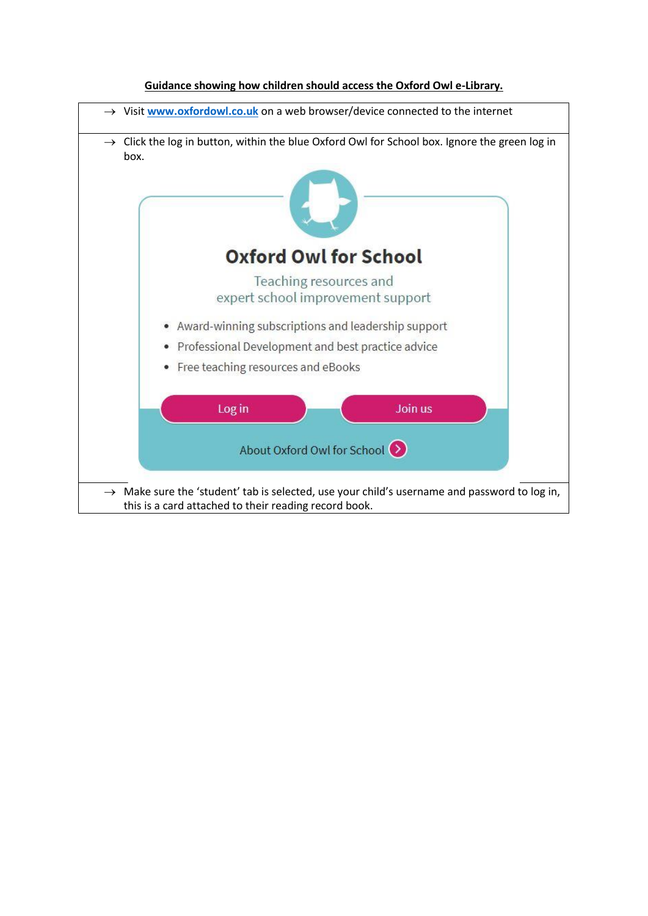

## **Guidance showing how children should access the Oxford Owl e-Library.**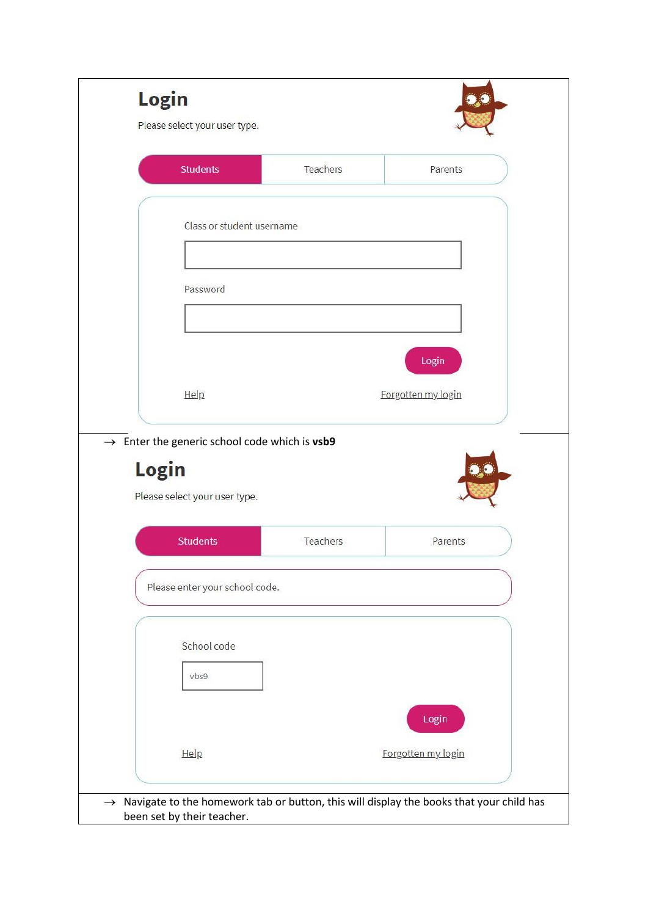| <b>Students</b>                | Teachers                                                  | Parents            |  |
|--------------------------------|-----------------------------------------------------------|--------------------|--|
|                                |                                                           |                    |  |
|                                |                                                           |                    |  |
|                                | Class or student username                                 |                    |  |
|                                |                                                           |                    |  |
| Password                       |                                                           |                    |  |
|                                |                                                           |                    |  |
|                                |                                                           | Login              |  |
|                                |                                                           |                    |  |
| Help                           |                                                           | Forgotten my login |  |
|                                |                                                           |                    |  |
|                                |                                                           |                    |  |
|                                | $\rightarrow$ Enter the generic school code which is vsb9 |                    |  |
| Login                          |                                                           |                    |  |
| Please select your user type.  |                                                           |                    |  |
| <b>Students</b>                | Teachers                                                  | Parents            |  |
|                                |                                                           |                    |  |
| Please enter your school code. |                                                           |                    |  |
|                                |                                                           |                    |  |
| School code                    |                                                           |                    |  |
| vbs9                           |                                                           |                    |  |
|                                |                                                           |                    |  |
|                                |                                                           | Login              |  |